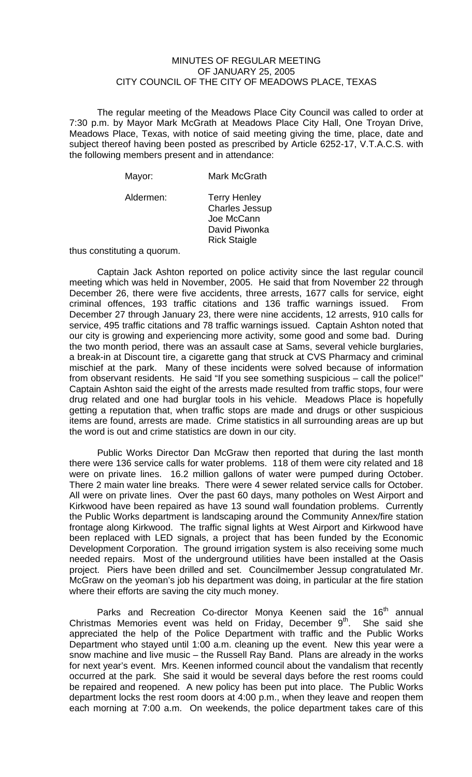## MINUTES OF REGULAR MEETING OF JANUARY 25, 2005 CITY COUNCIL OF THE CITY OF MEADOWS PLACE, TEXAS

The regular meeting of the Meadows Place City Council was called to order at 7:30 p.m. by Mayor Mark McGrath at Meadows Place City Hall, One Troyan Drive, Meadows Place, Texas, with notice of said meeting giving the time, place, date and subject thereof having been posted as prescribed by Article 6252-17, V.T.A.C.S. with the following members present and in attendance:

| Mayor:    | <b>Mark McGrath</b>                                                                                |
|-----------|----------------------------------------------------------------------------------------------------|
| Aldermen: | <b>Terry Henley</b><br><b>Charles Jessup</b><br>Joe McCann<br>David Piwonka<br><b>Rick Staigle</b> |

thus constituting a quorum.

 Captain Jack Ashton reported on police activity since the last regular council meeting which was held in November, 2005. He said that from November 22 through December 26, there were five accidents, three arrests, 1677 calls for service, eight criminal offences, 193 traffic citations and 136 traffic warnings issued. From December 27 through January 23, there were nine accidents, 12 arrests, 910 calls for service, 495 traffic citations and 78 traffic warnings issued. Captain Ashton noted that our city is growing and experiencing more activity, some good and some bad. During the two month period, there was an assault case at Sams, several vehicle burglaries, a break-in at Discount tire, a cigarette gang that struck at CVS Pharmacy and criminal mischief at the park. Many of these incidents were solved because of information from observant residents. He said "If you see something suspicious – call the police!" Captain Ashton said the eight of the arrests made resulted from traffic stops, four were drug related and one had burglar tools in his vehicle. Meadows Place is hopefully getting a reputation that, when traffic stops are made and drugs or other suspicious items are found, arrests are made. Crime statistics in all surrounding areas are up but the word is out and crime statistics are down in our city.

 Public Works Director Dan McGraw then reported that during the last month there were 136 service calls for water problems. 118 of them were city related and 18 were on private lines. 16.2 million gallons of water were pumped during October. There 2 main water line breaks. There were 4 sewer related service calls for October. All were on private lines. Over the past 60 days, many potholes on West Airport and Kirkwood have been repaired as have 13 sound wall foundation problems. Currently the Public Works department is landscaping around the Community Annex/fire station frontage along Kirkwood. The traffic signal lights at West Airport and Kirkwood have been replaced with LED signals, a project that has been funded by the Economic Development Corporation. The ground irrigation system is also receiving some much needed repairs. Most of the underground utilities have been installed at the Oasis project. Piers have been drilled and set. Councilmember Jessup congratulated Mr. McGraw on the yeoman's job his department was doing, in particular at the fire station where their efforts are saving the city much money.

Parks and Recreation Co-director Monya Keenen said the 16<sup>th</sup> annual Christmas Memories event was held on Friday, December  $9<sup>th</sup>$ . She said she appreciated the help of the Police Department with traffic and the Public Works Department who stayed until 1:00 a.m. cleaning up the event. New this year were a snow machine and live music – the Russell Ray Band. Plans are already in the works for next year's event. Mrs. Keenen informed council about the vandalism that recently occurred at the park. She said it would be several days before the rest rooms could be repaired and reopened. A new policy has been put into place. The Public Works department locks the rest room doors at 4:00 p.m., when they leave and reopen them each morning at 7:00 a.m. On weekends, the police department takes care of this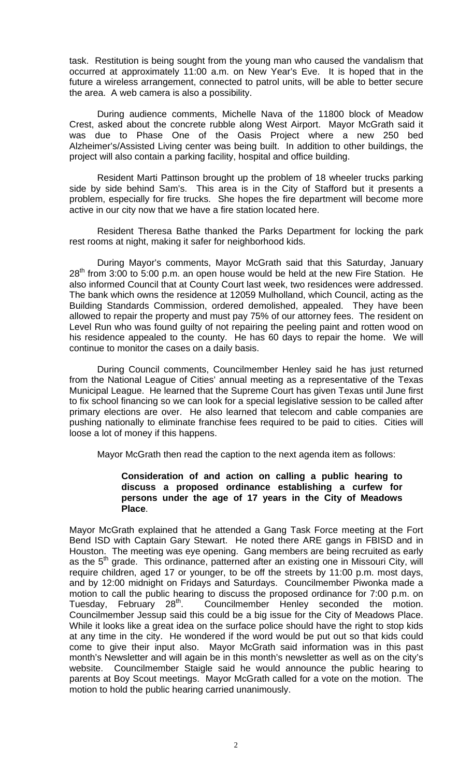task. Restitution is being sought from the young man who caused the vandalism that occurred at approximately 11:00 a.m. on New Year's Eve. It is hoped that in the future a wireless arrangement, connected to patrol units, will be able to better secure the area. A web camera is also a possibility.

During audience comments, Michelle Nava of the 11800 block of Meadow Crest, asked about the concrete rubble along West Airport. Mayor McGrath said it was due to Phase One of the Oasis Project where a new 250 bed Alzheimer's/Assisted Living center was being built. In addition to other buildings, the project will also contain a parking facility, hospital and office building.

Resident Marti Pattinson brought up the problem of 18 wheeler trucks parking side by side behind Sam's. This area is in the City of Stafford but it presents a problem, especially for fire trucks. She hopes the fire department will become more active in our city now that we have a fire station located here.

Resident Theresa Bathe thanked the Parks Department for locking the park rest rooms at night, making it safer for neighborhood kids.

During Mayor's comments, Mayor McGrath said that this Saturday, January  $28<sup>th</sup>$  from 3:00 to 5:00 p.m. an open house would be held at the new Fire Station. He also informed Council that at County Court last week, two residences were addressed. The bank which owns the residence at 12059 Mulholland, which Council, acting as the Building Standards Commission, ordered demolished, appealed. They have been allowed to repair the property and must pay 75% of our attorney fees. The resident on Level Run who was found guilty of not repairing the peeling paint and rotten wood on his residence appealed to the county. He has 60 days to repair the home. We will continue to monitor the cases on a daily basis.

During Council comments, Councilmember Henley said he has just returned from the National League of Cities' annual meeting as a representative of the Texas Municipal League. He learned that the Supreme Court has given Texas until June first to fix school financing so we can look for a special legislative session to be called after primary elections are over. He also learned that telecom and cable companies are pushing nationally to eliminate franchise fees required to be paid to cities. Cities will loose a lot of money if this happens.

Mayor McGrath then read the caption to the next agenda item as follows:

## **Consideration of and action on calling a public hearing to discuss a proposed ordinance establishing a curfew for persons under the age of 17 years in the City of Meadows Place**.

Mayor McGrath explained that he attended a Gang Task Force meeting at the Fort Bend ISD with Captain Gary Stewart. He noted there ARE gangs in FBISD and in Houston. The meeting was eye opening. Gang members are being recruited as early as the 5<sup>th</sup> grade. This ordinance, patterned after an existing one in Missouri City, will require children, aged 17 or younger, to be off the streets by 11:00 p.m. most days, and by 12:00 midnight on Fridays and Saturdays. Councilmember Piwonka made a motion to call the public hearing to discuss the proposed ordinance for 7:00 p.m. on<br>Tuesday, February 28<sup>th</sup>. Councilmember Henley seconded the motion. Tuesday, February 28<sup>th</sup>. Councilmember Henley seconded the motion. Councilmember Jessup said this could be a big issue for the City of Meadows Place. While it looks like a great idea on the surface police should have the right to stop kids at any time in the city. He wondered if the word would be put out so that kids could come to give their input also. Mayor McGrath said information was in this past month's Newsletter and will again be in this month's newsletter as well as on the city's website. Councilmember Staigle said he would announce the public hearing to parents at Boy Scout meetings. Mayor McGrath called for a vote on the motion. The motion to hold the public hearing carried unanimously.